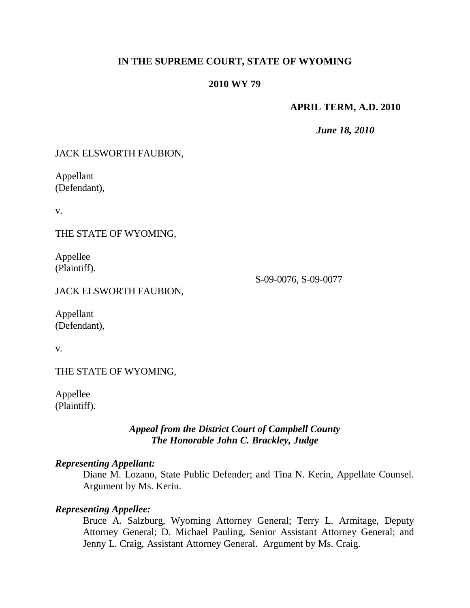# **IN THE SUPREME COURT, STATE OF WYOMING**

#### **2010 WY 79**

### **APRIL TERM, A.D. 2010**

*June 18, 2010*

| JACK ELSWORTH FAUBION,                                                          |                      |
|---------------------------------------------------------------------------------|----------------------|
| Appellant<br>(Defendant),                                                       |                      |
| v.                                                                              |                      |
| THE STATE OF WYOMING,                                                           |                      |
| Appellee<br>(Plaintiff).<br>JACK ELSWORTH FAUBION,<br>Appellant<br>(Defendant), | S-09-0076, S-09-0077 |
| v.                                                                              |                      |
| THE STATE OF WYOMING,                                                           |                      |
| Appellee<br>(Plaintiff).                                                        |                      |

# *Appeal from the District Court of Campbell County The Honorable John C. Brackley, Judge*

#### *Representing Appellant:*

Diane M. Lozano, State Public Defender; and Tina N. Kerin, Appellate Counsel. Argument by Ms. Kerin.

#### *Representing Appellee:*

Bruce A. Salzburg, Wyoming Attorney General; Terry L. Armitage, Deputy Attorney General; D. Michael Pauling, Senior Assistant Attorney General; and Jenny L. Craig, Assistant Attorney General. Argument by Ms. Craig.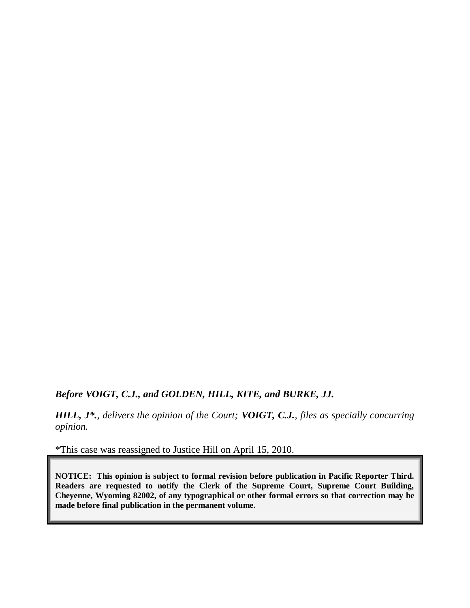# *Before VOIGT, C.J., and GOLDEN, HILL, KITE, and BURKE, JJ.*

*HILL, J\*., delivers the opinion of the Court; VOIGT, C.J., files as specially concurring opinion.*

\*This case was reassigned to Justice Hill on April 15, 2010.

**NOTICE: This opinion is subject to formal revision before publication in Pacific Reporter Third. Readers are requested to notify the Clerk of the Supreme Court, Supreme Court Building, Cheyenne, Wyoming 82002, of any typographical or other formal errors so that correction may be made before final publication in the permanent volume.**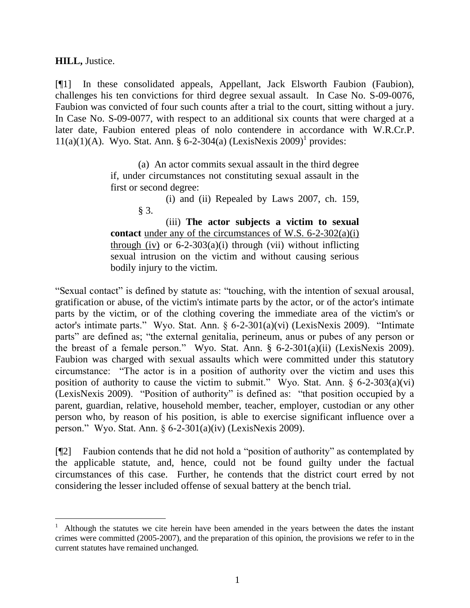**HILL,** Justice.

 $\overline{a}$ 

[¶1] In these consolidated appeals, Appellant, Jack Elsworth Faubion (Faubion), challenges his ten convictions for third degree sexual assault. In Case No. S-09-0076, Faubion was convicted of four such counts after a trial to the court, sitting without a jury. In Case No. S-09-0077, with respect to an additional six counts that were charged at a later date, Faubion entered pleas of nolo contendere in accordance with W.R.Cr.P. 11(a)(1)(A). Wyo. Stat. Ann. § 6-2-304(a) (LexisNexis 2009)<sup>1</sup> provides:

> (a) An actor commits sexual assault in the third degree if, under circumstances not constituting sexual assault in the first or second degree:

> > (i) and (ii) Repealed by Laws 2007, ch. 159, § 3.

(iii) **The actor subjects a victim to sexual contact** under any of the circumstances of W.S. 6-2-302(a)(i) through (iv) or  $6-2-303(a)(i)$  through (vii) without inflicting sexual intrusion on the victim and without causing serious bodily injury to the victim.

"Sexual contact" is defined by statute as: "touching, with the intention of sexual arousal, gratification or abuse, of the victim's intimate parts by the actor, or of the actor's intimate parts by the victim, or of the clothing covering the immediate area of the victim's or actor's intimate parts." Wyo. Stat. Ann. § 6-2-301(a)(vi) (LexisNexis 2009). "Intimate parts" are defined as; "the external genitalia, perineum, anus or pubes of any person or the breast of a female person." Wyo. Stat. Ann. § 6-2-301(a)(ii) (LexisNexis 2009). Faubion was charged with sexual assaults which were committed under this statutory circumstance: "The actor is in a position of authority over the victim and uses this position of authority to cause the victim to submit." Wyo. Stat. Ann.  $\S$  6-2-303(a)(vi) (LexisNexis 2009). "Position of authority" is defined as: "that position occupied by a parent, guardian, relative, household member, teacher, employer, custodian or any other person who, by reason of his position, is able to exercise significant influence over a person." Wyo. Stat. Ann. § 6-2-301(a)(iv) (LexisNexis 2009).

[¶2] Faubion contends that he did not hold a "position of authority" as contemplated by the applicable statute, and, hence, could not be found guilty under the factual circumstances of this case. Further, he contends that the district court erred by not considering the lesser included offense of sexual battery at the bench trial.

<sup>1</sup> Although the statutes we cite herein have been amended in the years between the dates the instant crimes were committed (2005-2007), and the preparation of this opinion, the provisions we refer to in the current statutes have remained unchanged.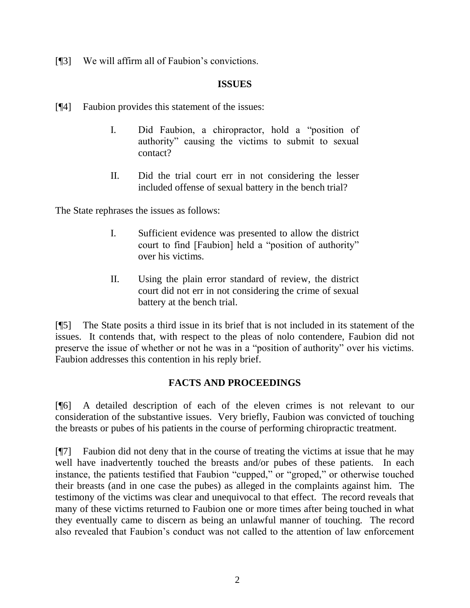[¶3] We will affirm all of Faubion's convictions.

### **ISSUES**

- [¶4] Faubion provides this statement of the issues:
	- I. Did Faubion, a chiropractor, hold a "position of authority" causing the victims to submit to sexual contact?
	- II. Did the trial court err in not considering the lesser included offense of sexual battery in the bench trial?

The State rephrases the issues as follows:

- I. Sufficient evidence was presented to allow the district court to find [Faubion] held a "position of authority" over his victims.
- II. Using the plain error standard of review, the district court did not err in not considering the crime of sexual battery at the bench trial.

[¶5] The State posits a third issue in its brief that is not included in its statement of the issues. It contends that, with respect to the pleas of nolo contendere, Faubion did not preserve the issue of whether or not he was in a "position of authority" over his victims. Faubion addresses this contention in his reply brief.

# **FACTS AND PROCEEDINGS**

[¶6] A detailed description of each of the eleven crimes is not relevant to our consideration of the substantive issues. Very briefly, Faubion was convicted of touching the breasts or pubes of his patients in the course of performing chiropractic treatment.

[¶7] Faubion did not deny that in the course of treating the victims at issue that he may well have inadvertently touched the breasts and/or pubes of these patients. In each instance, the patients testified that Faubion "cupped," or "groped," or otherwise touched their breasts (and in one case the pubes) as alleged in the complaints against him. The testimony of the victims was clear and unequivocal to that effect. The record reveals that many of these victims returned to Faubion one or more times after being touched in what they eventually came to discern as being an unlawful manner of touching. The record also revealed that Faubion's conduct was not called to the attention of law enforcement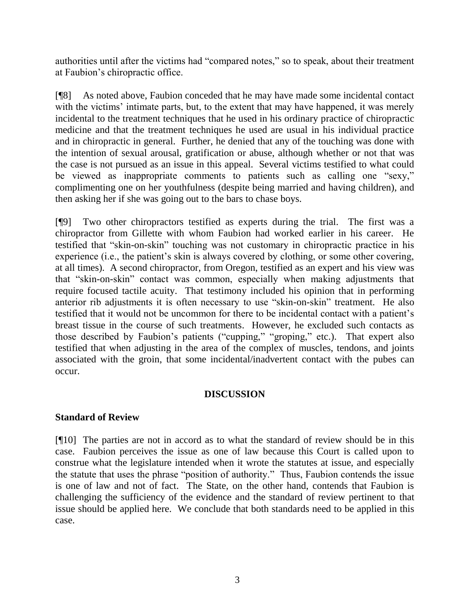authorities until after the victims had "compared notes," so to speak, about their treatment at Faubion's chiropractic office.

[¶8] As noted above, Faubion conceded that he may have made some incidental contact with the victims' intimate parts, but, to the extent that may have happened, it was merely incidental to the treatment techniques that he used in his ordinary practice of chiropractic medicine and that the treatment techniques he used are usual in his individual practice and in chiropractic in general. Further, he denied that any of the touching was done with the intention of sexual arousal, gratification or abuse, although whether or not that was the case is not pursued as an issue in this appeal. Several victims testified to what could be viewed as inappropriate comments to patients such as calling one "sexy," complimenting one on her youthfulness (despite being married and having children), and then asking her if she was going out to the bars to chase boys.

[¶9] Two other chiropractors testified as experts during the trial. The first was a chiropractor from Gillette with whom Faubion had worked earlier in his career. He testified that "skin-on-skin" touching was not customary in chiropractic practice in his experience (i.e., the patient's skin is always covered by clothing, or some other covering, at all times). A second chiropractor, from Oregon, testified as an expert and his view was that "skin-on-skin" contact was common, especially when making adjustments that require focused tactile acuity. That testimony included his opinion that in performing anterior rib adjustments it is often necessary to use "skin-on-skin" treatment. He also testified that it would not be uncommon for there to be incidental contact with a patient's breast tissue in the course of such treatments. However, he excluded such contacts as those described by Faubion's patients ("cupping," "groping," etc.). That expert also testified that when adjusting in the area of the complex of muscles, tendons, and joints associated with the groin, that some incidental/inadvertent contact with the pubes can occur.

# **DISCUSSION**

#### **Standard of Review**

[¶10] The parties are not in accord as to what the standard of review should be in this case. Faubion perceives the issue as one of law because this Court is called upon to construe what the legislature intended when it wrote the statutes at issue, and especially the statute that uses the phrase "position of authority." Thus, Faubion contends the issue is one of law and not of fact. The State, on the other hand, contends that Faubion is challenging the sufficiency of the evidence and the standard of review pertinent to that issue should be applied here. We conclude that both standards need to be applied in this case.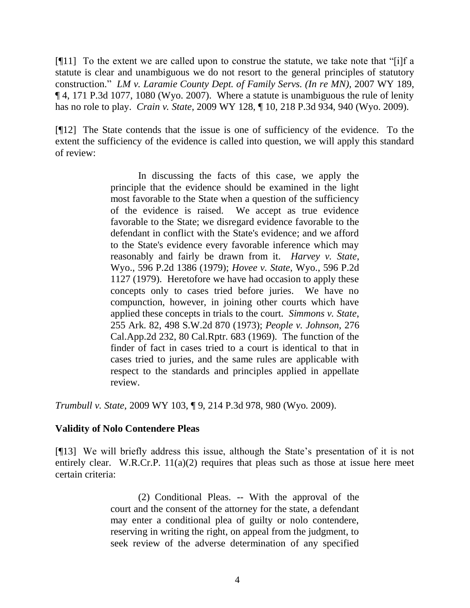[¶11] To the extent we are called upon to construe the statute, we take note that "[i]f a statute is clear and unambiguous we do not resort to the general principles of statutory construction." *LM v. Laramie County Dept. of Family Servs. (In re MN)*, 2007 WY 189, ¶ 4, 171 P.3d 1077, 1080 (Wyo. 2007). Where a statute is unambiguous the rule of lenity has no role to play. *Crain v. State*, 2009 WY 128, ¶ 10, 218 P.3d 934, 940 (Wyo. 2009).

[¶12] The State contends that the issue is one of sufficiency of the evidence. To the extent the sufficiency of the evidence is called into question, we will apply this standard of review:

> In discussing the facts of this case, we apply the principle that the evidence should be examined in the light most favorable to the State when a question of the sufficiency of the evidence is raised. We accept as true evidence favorable to the State; we disregard evidence favorable to the defendant in conflict with the State's evidence; and we afford to the State's evidence every favorable inference which may reasonably and fairly be drawn from it. *Harvey v. State*, Wyo., 596 P.2d 1386 (1979); *Hovee v. State*, Wyo., 596 P.2d 1127 (1979). Heretofore we have had occasion to apply these concepts only to cases tried before juries. We have no compunction, however, in joining other courts which have applied these concepts in trials to the court. *Simmons v. State*, 255 Ark. 82, 498 S.W.2d 870 (1973); *People v. Johnson*, 276 Cal.App.2d 232, 80 Cal.Rptr. 683 (1969). The function of the finder of fact in cases tried to a court is identical to that in cases tried to juries, and the same rules are applicable with respect to the standards and principles applied in appellate review.

*Trumbull v. State*, 2009 WY 103, ¶ 9, 214 P.3d 978, 980 (Wyo. 2009).

#### **Validity of Nolo Contendere Pleas**

[¶13] We will briefly address this issue, although the State's presentation of it is not entirely clear. W.R.Cr.P.  $11(a)(2)$  requires that pleas such as those at issue here meet certain criteria:

> (2) Conditional Pleas. -- With the approval of the court and the consent of the attorney for the state, a defendant may enter a conditional plea of guilty or nolo contendere, reserving in writing the right, on appeal from the judgment, to seek review of the adverse determination of any specified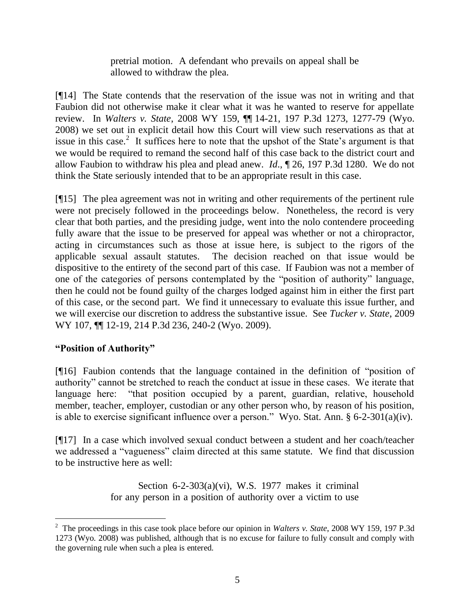pretrial motion. A defendant who prevails on appeal shall be allowed to withdraw the plea.

[¶14] The State contends that the reservation of the issue was not in writing and that Faubion did not otherwise make it clear what it was he wanted to reserve for appellate review. In *Walters v. State*, 2008 WY 159, ¶¶ 14-21, 197 P.3d 1273, 1277-79 (Wyo. 2008) we set out in explicit detail how this Court will view such reservations as that at issue in this case.<sup>2</sup> It suffices here to note that the upshot of the State's argument is that we would be required to remand the second half of this case back to the district court and allow Faubion to withdraw his plea and plead anew. *Id*., ¶ 26, 197 P.3d 1280. We do not think the State seriously intended that to be an appropriate result in this case.

[¶15] The plea agreement was not in writing and other requirements of the pertinent rule were not precisely followed in the proceedings below. Nonetheless, the record is very clear that both parties, and the presiding judge, went into the nolo contendere proceeding fully aware that the issue to be preserved for appeal was whether or not a chiropractor, acting in circumstances such as those at issue here, is subject to the rigors of the applicable sexual assault statutes. The decision reached on that issue would be dispositive to the entirety of the second part of this case. If Faubion was not a member of one of the categories of persons contemplated by the "position of authority" language, then he could not be found guilty of the charges lodged against him in either the first part of this case, or the second part. We find it unnecessary to evaluate this issue further, and we will exercise our discretion to address the substantive issue. See *Tucker v. State*, 2009 WY 107, ¶¶ 12-19, 214 P.3d 236, 240-2 (Wyo. 2009).

# **"Position of Authority"**

 $\overline{a}$ 

[¶16] Faubion contends that the language contained in the definition of "position of authority" cannot be stretched to reach the conduct at issue in these cases. We iterate that language here: "that position occupied by a parent, guardian, relative, household member, teacher, employer, custodian or any other person who, by reason of his position, is able to exercise significant influence over a person." Wyo. Stat. Ann. § 6-2-301(a)(iv).

[¶17] In a case which involved sexual conduct between a student and her coach/teacher we addressed a "vagueness" claim directed at this same statute. We find that discussion to be instructive here as well:

> Section  $6-2-303(a)(vi)$ , W.S. 1977 makes it criminal for any person in a position of authority over a victim to use

<sup>2</sup> The proceedings in this case took place before our opinion in *Walters v. State*, 2008 WY 159, 197 P.3d 1273 (Wyo. 2008) was published, although that is no excuse for failure to fully consult and comply with the governing rule when such a plea is entered.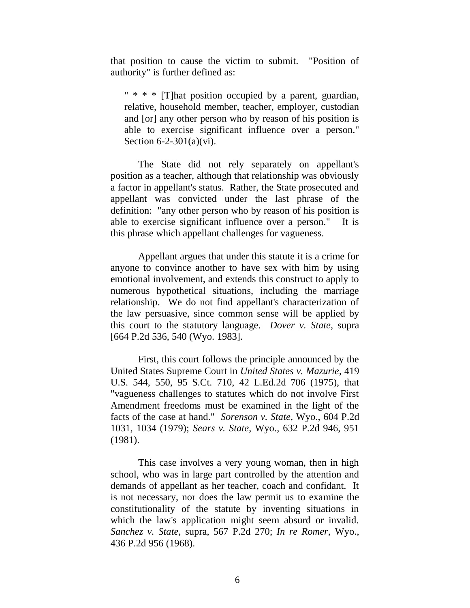that position to cause the victim to submit. "Position of authority" is further defined as:

" \* \* \* [T]hat position occupied by a parent, guardian, relative, household member, teacher, employer, custodian and [or] any other person who by reason of his position is able to exercise significant influence over a person." Section 6-2-301(a)(vi).

The State did not rely separately on appellant's position as a teacher, although that relationship was obviously a factor in appellant's status. Rather, the State prosecuted and appellant was convicted under the last phrase of the definition: "any other person who by reason of his position is able to exercise significant influence over a person." It is this phrase which appellant challenges for vagueness.

Appellant argues that under this statute it is a crime for anyone to convince another to have sex with him by using emotional involvement, and extends this construct to apply to numerous hypothetical situations, including the marriage relationship. We do not find appellant's characterization of the law persuasive, since common sense will be applied by this court to the statutory language. *Dover v. State*, supra [664 P.2d 536, 540 (Wyo. 1983].

First, this court follows the principle announced by the United States Supreme Court in *United States v. Mazurie*, 419 U.S. 544, 550, 95 S.Ct. 710, 42 L.Ed.2d 706 (1975), that "vagueness challenges to statutes which do not involve First Amendment freedoms must be examined in the light of the facts of the case at hand." *Sorenson v. State*, Wyo., 604 P.2d 1031, 1034 (1979); *Sears v. State*, Wyo., 632 P.2d 946, 951 (1981).

This case involves a very young woman, then in high school, who was in large part controlled by the attention and demands of appellant as her teacher, coach and confidant. It is not necessary, nor does the law permit us to examine the constitutionality of the statute by inventing situations in which the law's application might seem absurd or invalid. *Sanchez v. State*, supra, 567 P.2d 270; *In re Romer*, Wyo., 436 P.2d 956 (1968).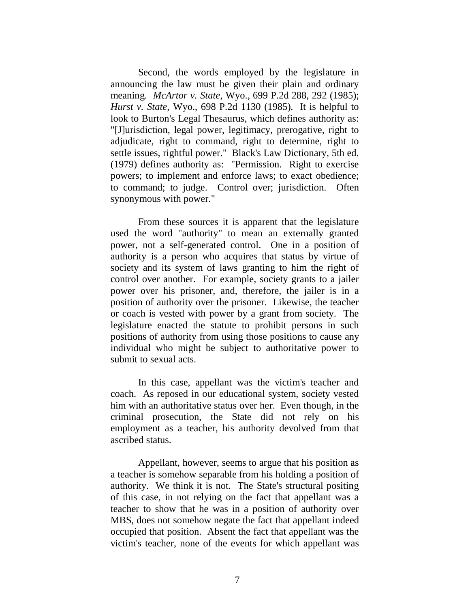Second, the words employed by the legislature in announcing the law must be given their plain and ordinary meaning. *McArtor v. State*, Wyo., 699 P.2d 288, 292 (1985); *Hurst v. State*, Wyo., 698 P.2d 1130 (1985). It is helpful to look to Burton's Legal Thesaurus, which defines authority as: "[J]urisdiction, legal power, legitimacy, prerogative, right to adjudicate, right to command, right to determine, right to settle issues, rightful power." Black's Law Dictionary, 5th ed. (1979) defines authority as: "Permission. Right to exercise powers; to implement and enforce laws; to exact obedience; to command; to judge. Control over; jurisdiction. Often synonymous with power."

From these sources it is apparent that the legislature used the word "authority" to mean an externally granted power, not a self-generated control. One in a position of authority is a person who acquires that status by virtue of society and its system of laws granting to him the right of control over another. For example, society grants to a jailer power over his prisoner, and, therefore, the jailer is in a position of authority over the prisoner. Likewise, the teacher or coach is vested with power by a grant from society. The legislature enacted the statute to prohibit persons in such positions of authority from using those positions to cause any individual who might be subject to authoritative power to submit to sexual acts.

In this case, appellant was the victim's teacher and coach. As reposed in our educational system, society vested him with an authoritative status over her. Even though, in the criminal prosecution, the State did not rely on his employment as a teacher, his authority devolved from that ascribed status.

Appellant, however, seems to argue that his position as a teacher is somehow separable from his holding a position of authority. We think it is not. The State's structural positing of this case, in not relying on the fact that appellant was a teacher to show that he was in a position of authority over MBS, does not somehow negate the fact that appellant indeed occupied that position. Absent the fact that appellant was the victim's teacher, none of the events for which appellant was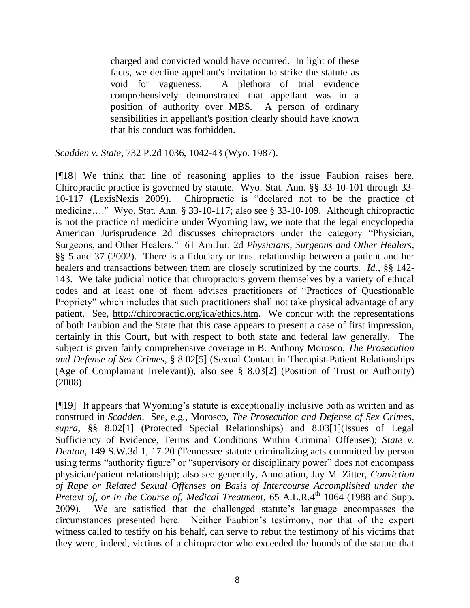charged and convicted would have occurred. In light of these facts, we decline appellant's invitation to strike the statute as void for vagueness. A plethora of trial evidence comprehensively demonstrated that appellant was in a position of authority over MBS. A person of ordinary sensibilities in appellant's position clearly should have known that his conduct was forbidden.

*Scadden v. State*, 732 P.2d 1036, 1042-43 (Wyo. 1987).

[¶18] We think that line of reasoning applies to the issue Faubion raises here. Chiropractic practice is governed by statute. Wyo. Stat. Ann. §§ 33-10-101 through 33- 10-117 (LexisNexis 2009). Chiropractic is "declared not to be the practice of medicine…." Wyo. Stat. Ann. § 33-10-117; also see § 33-10-109. Although chiropractic is not the practice of medicine under Wyoming law, we note that the legal encyclopedia American Jurisprudence 2d discusses chiropractors under the category "Physician, Surgeons, and Other Healers." 61 Am.Jur. 2d *Physicians, Surgeons and Other Healers*, §§ 5 and 37 (2002). There is a fiduciary or trust relationship between a patient and her healers and transactions between them are closely scrutinized by the courts. *Id*., §§ 142- 143. We take judicial notice that chiropractors govern themselves by a variety of ethical codes and at least one of them advises practitioners of "Practices of Questionable Propriety" which includes that such practitioners shall not take physical advantage of any patient. See, [http://chiropractic.org/ica/ethics.htm.](http://chiropractic.org/ica/ethics.htm) We concur with the representations of both Faubion and the State that this case appears to present a case of first impression, certainly in this Court, but with respect to both state and federal law generally. The subject is given fairly comprehensive coverage in B. Anthony Morosco, *The Prosecution and Defense of Sex Crimes*, § 8.02[5] (Sexual Contact in Therapist-Patient Relationships (Age of Complainant Irrelevant)), also see § 8.03[2] (Position of Trust or Authority) (2008).

[¶19] It appears that Wyoming's statute is exceptionally inclusive both as written and as construed in *Scadden*. See, e.g., Morosco, *The Prosecution and Defense of Sex Crimes*, *supra*, §§ 8.02[1] (Protected Special Relationships) and 8.03[1](Issues of Legal Sufficiency of Evidence, Terms and Conditions Within Criminal Offenses); *State v. Denton*, 149 S.W.3d 1, 17-20 (Tennessee statute criminalizing acts committed by person using terms "authority figure" or "supervisory or disciplinary power" does not encompass physician/patient relationship); also see generally, Annotation, Jay M. Zitter, *Conviction of Rape or Related Sexual Offenses on Basis of Intercourse Accomplished under the Pretext of, or in the Course of, Medical Treatment, 65 A.L.R.4th 1064 (1988 and Supp.* 2009). We are satisfied that the challenged statute's language encompasses the circumstances presented here. Neither Faubion's testimony, nor that of the expert witness called to testify on his behalf, can serve to rebut the testimony of his victims that they were, indeed, victims of a chiropractor who exceeded the bounds of the statute that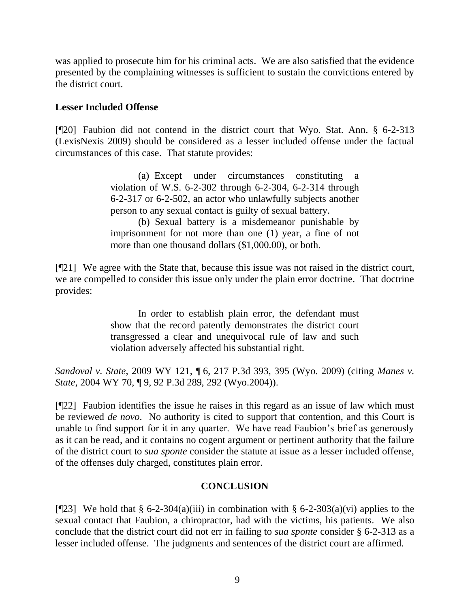was applied to prosecute him for his criminal acts. We are also satisfied that the evidence presented by the complaining witnesses is sufficient to sustain the convictions entered by the district court.

### **Lesser Included Offense**

[¶20] Faubion did not contend in the district court that Wyo. Stat. Ann. § 6-2-313 (LexisNexis 2009) should be considered as a lesser included offense under the factual circumstances of this case. That statute provides:

> (a) Except under circumstances constituting a violation of W.S. 6-2-302 through 6-2-304, 6-2-314 through 6-2-317 or 6-2-502, an actor who unlawfully subjects another person to any sexual contact is guilty of sexual battery.

> (b) Sexual battery is a misdemeanor punishable by imprisonment for not more than one (1) year, a fine of not more than one thousand dollars (\$1,000.00), or both.

[¶21] We agree with the State that, because this issue was not raised in the district court, we are compelled to consider this issue only under the plain error doctrine. That doctrine provides:

> In order to establish plain error, the defendant must show that the record patently demonstrates the district court transgressed a clear and unequivocal rule of law and such violation adversely affected his substantial right.

*Sandoval v. State*, 2009 WY 121, ¶ 6, 217 P.3d 393, 395 (Wyo. 2009) (citing *Manes v. State*, 2004 WY 70, ¶ 9, 92 P.3d 289, 292 (Wyo.2004)).

[¶22] Faubion identifies the issue he raises in this regard as an issue of law which must be reviewed *de novo*. No authority is cited to support that contention, and this Court is unable to find support for it in any quarter. We have read Faubion's brief as generously as it can be read, and it contains no cogent argument or pertinent authority that the failure of the district court to *sua sponte* consider the statute at issue as a lesser included offense, of the offenses duly charged, constitutes plain error.

# **CONCLUSION**

[ $[23]$ ] We hold that § 6-2-304(a)(iii) in combination with § 6-2-303(a)(vi) applies to the sexual contact that Faubion, a chiropractor, had with the victims, his patients. We also conclude that the district court did not err in failing to *sua sponte* consider § 6-2-313 as a lesser included offense. The judgments and sentences of the district court are affirmed.